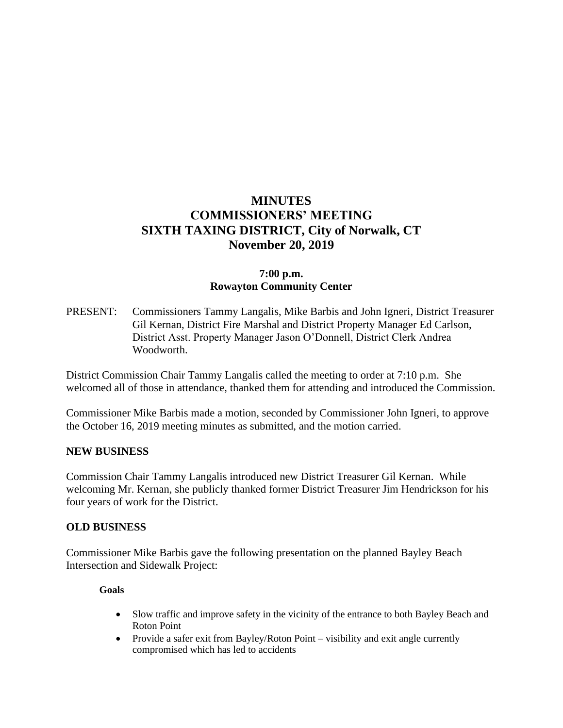# **MINUTES COMMISSIONERS' MEETING SIXTH TAXING DISTRICT, City of Norwalk, CT November 20, 2019**

# **7:00 p.m. Rowayton Community Center**

PRESENT: Commissioners Tammy Langalis, Mike Barbis and John Igneri, District Treasurer Gil Kernan, District Fire Marshal and District Property Manager Ed Carlson, District Asst. Property Manager Jason O'Donnell, District Clerk Andrea Woodworth.

District Commission Chair Tammy Langalis called the meeting to order at 7:10 p.m. She welcomed all of those in attendance, thanked them for attending and introduced the Commission.

Commissioner Mike Barbis made a motion, seconded by Commissioner John Igneri, to approve the October 16, 2019 meeting minutes as submitted, and the motion carried.

#### **NEW BUSINESS**

Commission Chair Tammy Langalis introduced new District Treasurer Gil Kernan. While welcoming Mr. Kernan, she publicly thanked former District Treasurer Jim Hendrickson for his four years of work for the District.

#### **OLD BUSINESS**

Commissioner Mike Barbis gave the following presentation on the planned Bayley Beach Intersection and Sidewalk Project:

#### **Goals**

- Slow traffic and improve safety in the vicinity of the entrance to both Bayley Beach and Roton Point
- Provide a safer exit from Bayley/Roton Point visibility and exit angle currently compromised which has led to accidents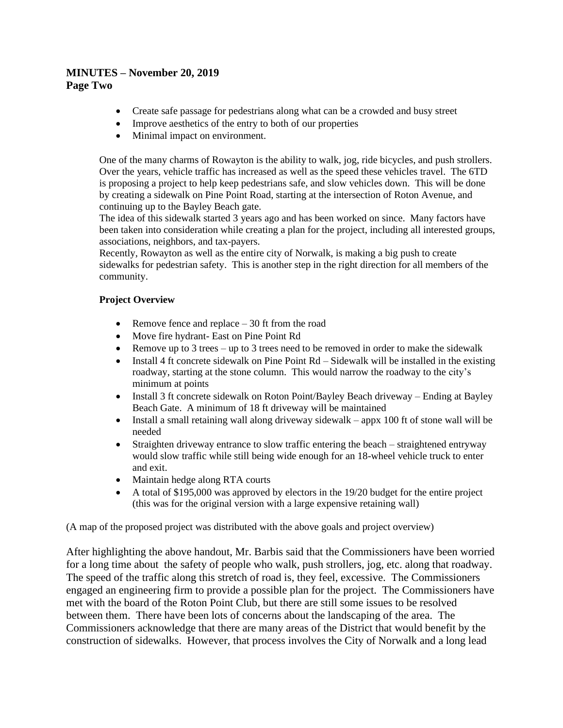#### **MINUTES – November 20, 2019 Page Two**

- Create safe passage for pedestrians along what can be a crowded and busy street
- Improve aesthetics of the entry to both of our properties
- Minimal impact on environment.

One of the many charms of Rowayton is the ability to walk, jog, ride bicycles, and push strollers. Over the years, vehicle traffic has increased as well as the speed these vehicles travel. The 6TD is proposing a project to help keep pedestrians safe, and slow vehicles down. This will be done by creating a sidewalk on Pine Point Road, starting at the intersection of Roton Avenue, and continuing up to the Bayley Beach gate.

The idea of this sidewalk started 3 years ago and has been worked on since. Many factors have been taken into consideration while creating a plan for the project, including all interested groups, associations, neighbors, and tax-payers.

Recently, Rowayton as well as the entire city of Norwalk, is making a big push to create sidewalks for pedestrian safety. This is another step in the right direction for all members of the community.

#### **Project Overview**

- Remove fence and replace  $-30$  ft from the road
- Move fire hydrant- East on Pine Point Rd
- Remove up to 3 trees up to 3 trees need to be removed in order to make the sidewalk
- Install 4 ft concrete sidewalk on Pine Point Rd Sidewalk will be installed in the existing roadway, starting at the stone column. This would narrow the roadway to the city's minimum at points
- Install 3 ft concrete sidewalk on Roton Point/Bayley Beach driveway Ending at Bayley Beach Gate. A minimum of 18 ft driveway will be maintained
- Install a small retaining wall along driveway sidewalk appx 100 ft of stone wall will be needed
- Straighten driveway entrance to slow traffic entering the beach straightened entryway would slow traffic while still being wide enough for an 18-wheel vehicle truck to enter and exit.
- Maintain hedge along RTA courts
- A total of \$195,000 was approved by electors in the 19/20 budget for the entire project (this was for the original version with a large expensive retaining wall)

(A map of the proposed project was distributed with the above goals and project overview)

After highlighting the above handout, Mr. Barbis said that the Commissioners have been worried for a long time about the safety of people who walk, push strollers, jog, etc. along that roadway. The speed of the traffic along this stretch of road is, they feel, excessive. The Commissioners engaged an engineering firm to provide a possible plan for the project. The Commissioners have met with the board of the Roton Point Club, but there are still some issues to be resolved between them. There have been lots of concerns about the landscaping of the area. The Commissioners acknowledge that there are many areas of the District that would benefit by the construction of sidewalks. However, that process involves the City of Norwalk and a long lead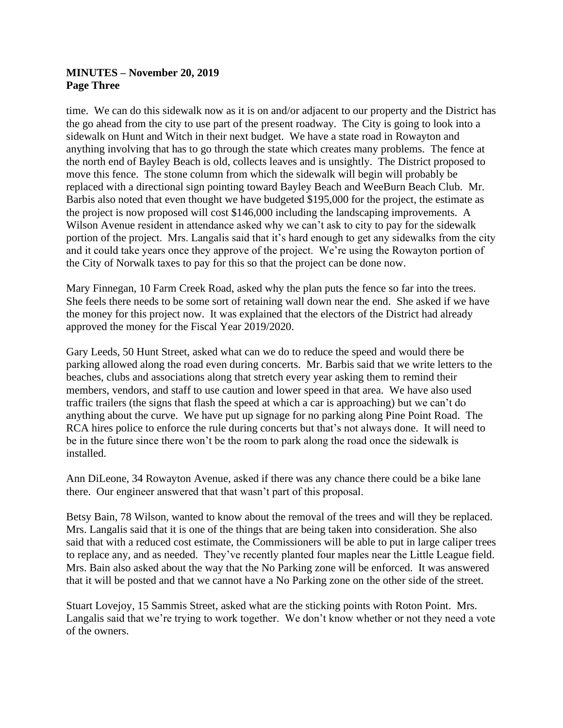### **MINUTES – November 20, 2019 Page Three**

time. We can do this sidewalk now as it is on and/or adjacent to our property and the District has the go ahead from the city to use part of the present roadway. The City is going to look into a sidewalk on Hunt and Witch in their next budget. We have a state road in Rowayton and anything involving that has to go through the state which creates many problems. The fence at the north end of Bayley Beach is old, collects leaves and is unsightly. The District proposed to move this fence. The stone column from which the sidewalk will begin will probably be replaced with a directional sign pointing toward Bayley Beach and WeeBurn Beach Club. Mr. Barbis also noted that even thought we have budgeted \$195,000 for the project, the estimate as the project is now proposed will cost \$146,000 including the landscaping improvements. A Wilson Avenue resident in attendance asked why we can't ask to city to pay for the sidewalk portion of the project. Mrs. Langalis said that it's hard enough to get any sidewalks from the city and it could take years once they approve of the project. We're using the Rowayton portion of the City of Norwalk taxes to pay for this so that the project can be done now.

Mary Finnegan, 10 Farm Creek Road, asked why the plan puts the fence so far into the trees. She feels there needs to be some sort of retaining wall down near the end. She asked if we have the money for this project now. It was explained that the electors of the District had already approved the money for the Fiscal Year 2019/2020.

Gary Leeds, 50 Hunt Street, asked what can we do to reduce the speed and would there be parking allowed along the road even during concerts. Mr. Barbis said that we write letters to the beaches, clubs and associations along that stretch every year asking them to remind their members, vendors, and staff to use caution and lower speed in that area. We have also used traffic trailers (the signs that flash the speed at which a car is approaching) but we can't do anything about the curve. We have put up signage for no parking along Pine Point Road. The RCA hires police to enforce the rule during concerts but that's not always done. It will need to be in the future since there won't be the room to park along the road once the sidewalk is installed.

Ann DiLeone, 34 Rowayton Avenue, asked if there was any chance there could be a bike lane there. Our engineer answered that that wasn't part of this proposal.

Betsy Bain, 78 Wilson, wanted to know about the removal of the trees and will they be replaced. Mrs. Langalis said that it is one of the things that are being taken into consideration. She also said that with a reduced cost estimate, the Commissioners will be able to put in large caliper trees to replace any, and as needed. They've recently planted four maples near the Little League field. Mrs. Bain also asked about the way that the No Parking zone will be enforced. It was answered that it will be posted and that we cannot have a No Parking zone on the other side of the street.

Stuart Lovejoy, 15 Sammis Street, asked what are the sticking points with Roton Point. Mrs. Langalis said that we're trying to work together. We don't know whether or not they need a vote of the owners.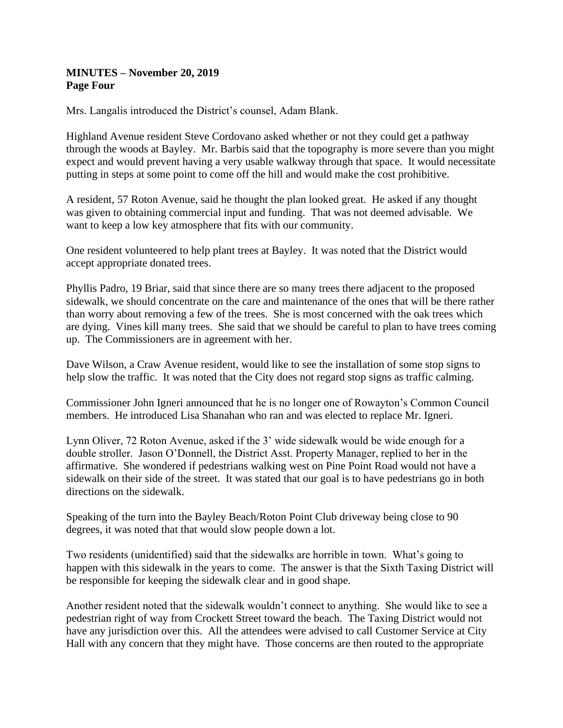### **MINUTES – November 20, 2019 Page Four**

Mrs. Langalis introduced the District's counsel, Adam Blank.

Highland Avenue resident Steve Cordovano asked whether or not they could get a pathway through the woods at Bayley. Mr. Barbis said that the topography is more severe than you might expect and would prevent having a very usable walkway through that space. It would necessitate putting in steps at some point to come off the hill and would make the cost prohibitive.

A resident, 57 Roton Avenue, said he thought the plan looked great. He asked if any thought was given to obtaining commercial input and funding. That was not deemed advisable. We want to keep a low key atmosphere that fits with our community.

One resident volunteered to help plant trees at Bayley. It was noted that the District would accept appropriate donated trees.

Phyllis Padro, 19 Briar, said that since there are so many trees there adjacent to the proposed sidewalk, we should concentrate on the care and maintenance of the ones that will be there rather than worry about removing a few of the trees. She is most concerned with the oak trees which are dying. Vines kill many trees. She said that we should be careful to plan to have trees coming up. The Commissioners are in agreement with her.

Dave Wilson, a Craw Avenue resident, would like to see the installation of some stop signs to help slow the traffic. It was noted that the City does not regard stop signs as traffic calming.

Commissioner John Igneri announced that he is no longer one of Rowayton's Common Council members. He introduced Lisa Shanahan who ran and was elected to replace Mr. Igneri.

Lynn Oliver, 72 Roton Avenue, asked if the 3' wide sidewalk would be wide enough for a double stroller. Jason O'Donnell, the District Asst. Property Manager, replied to her in the affirmative. She wondered if pedestrians walking west on Pine Point Road would not have a sidewalk on their side of the street. It was stated that our goal is to have pedestrians go in both directions on the sidewalk.

Speaking of the turn into the Bayley Beach/Roton Point Club driveway being close to 90 degrees, it was noted that that would slow people down a lot.

Two residents (unidentified) said that the sidewalks are horrible in town. What's going to happen with this sidewalk in the years to come. The answer is that the Sixth Taxing District will be responsible for keeping the sidewalk clear and in good shape.

Another resident noted that the sidewalk wouldn't connect to anything. She would like to see a pedestrian right of way from Crockett Street toward the beach. The Taxing District would not have any jurisdiction over this. All the attendees were advised to call Customer Service at City Hall with any concern that they might have. Those concerns are then routed to the appropriate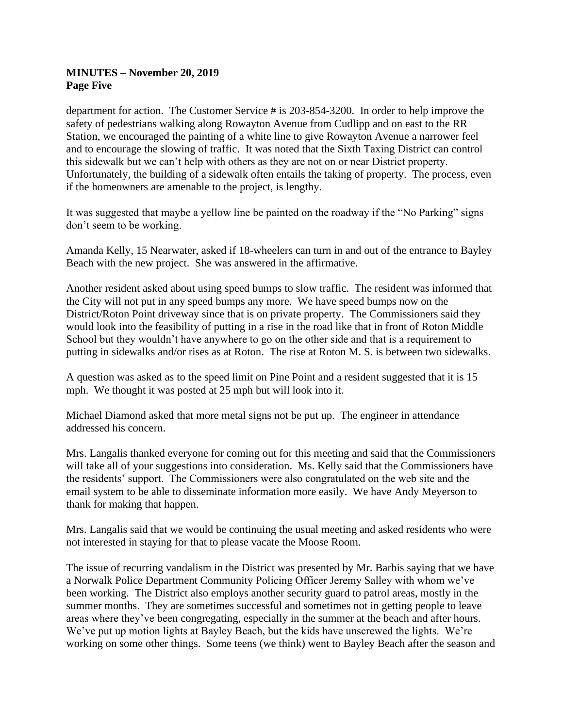### **MINUTES – November 20, 2019 Page Five**

department for action. The Customer Service # is 203-854-3200. In order to help improve the safety of pedestrians walking along Rowayton Avenue from Cudlipp and on east to the RR Station, we encouraged the painting of a white line to give Rowayton Avenue a narrower feel and to encourage the slowing of traffic. It was noted that the Sixth Taxing District can control this sidewalk but we can't help with others as they are not on or near District property. Unfortunately, the building of a sidewalk often entails the taking of property. The process, even if the homeowners are amenable to the project, is lengthy.

It was suggested that maybe a yellow line be painted on the roadway if the "No Parking" signs don't seem to be working.

Amanda Kelly, 15 Nearwater, asked if 18-wheelers can turn in and out of the entrance to Bayley Beach with the new project. She was answered in the affirmative.

Another resident asked about using speed bumps to slow traffic. The resident was informed that the City will not put in any speed bumps any more. We have speed bumps now on the District/Roton Point driveway since that is on private property. The Commissioners said they would look into the feasibility of putting in a rise in the road like that in front of Roton Middle School but they wouldn't have anywhere to go on the other side and that is a requirement to putting in sidewalks and/or rises as at Roton. The rise at Roton M. S. is between two sidewalks.

A question was asked as to the speed limit on Pine Point and a resident suggested that it is 15 mph. We thought it was posted at 25 mph but will look into it.

Michael Diamond asked that more metal signs not be put up. The engineer in attendance addressed his concern.

Mrs. Langalis thanked everyone for coming out for this meeting and said that the Commissioners will take all of your suggestions into consideration. Ms. Kelly said that the Commissioners have the residents' support. The Commissioners were also congratulated on the web site and the email system to be able to disseminate information more easily. We have Andy Meyerson to thank for making that happen.

Mrs. Langalis said that we would be continuing the usual meeting and asked residents who were not interested in staying for that to please vacate the Moose Room.

The issue of recurring vandalism in the District was presented by Mr. Barbis saying that we have a Norwalk Police Department Community Policing Officer Jeremy Salley with whom we've been working. The District also employs another security guard to patrol areas, mostly in the summer months. They are sometimes successful and sometimes not in getting people to leave areas where they've been congregating, especially in the summer at the beach and after hours. We've put up motion lights at Bayley Beach, but the kids have unscrewed the lights. We're working on some other things. Some teens (we think) went to Bayley Beach after the season and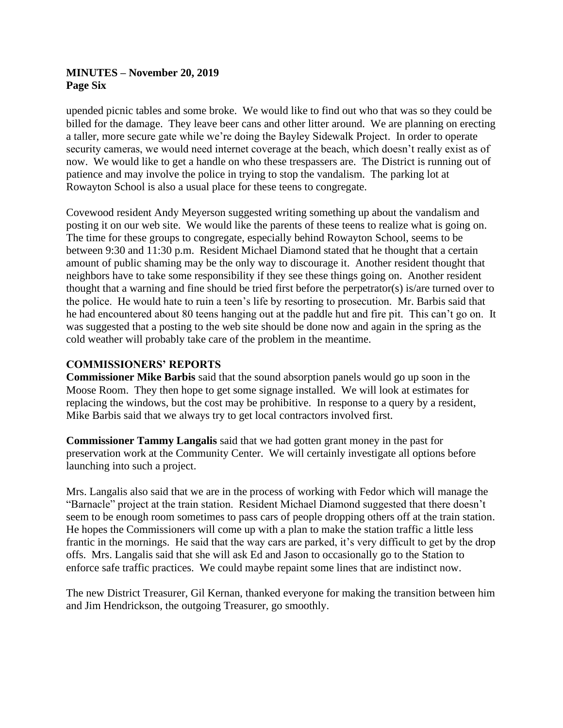### **MINUTES – November 20, 2019 Page Six**

upended picnic tables and some broke. We would like to find out who that was so they could be billed for the damage. They leave beer cans and other litter around. We are planning on erecting a taller, more secure gate while we're doing the Bayley Sidewalk Project. In order to operate security cameras, we would need internet coverage at the beach, which doesn't really exist as of now. We would like to get a handle on who these trespassers are. The District is running out of patience and may involve the police in trying to stop the vandalism. The parking lot at Rowayton School is also a usual place for these teens to congregate.

Covewood resident Andy Meyerson suggested writing something up about the vandalism and posting it on our web site. We would like the parents of these teens to realize what is going on. The time for these groups to congregate, especially behind Rowayton School, seems to be between 9:30 and 11:30 p.m. Resident Michael Diamond stated that he thought that a certain amount of public shaming may be the only way to discourage it. Another resident thought that neighbors have to take some responsibility if they see these things going on. Another resident thought that a warning and fine should be tried first before the perpetrator(s) is/are turned over to the police. He would hate to ruin a teen's life by resorting to prosecution. Mr. Barbis said that he had encountered about 80 teens hanging out at the paddle hut and fire pit. This can't go on. It was suggested that a posting to the web site should be done now and again in the spring as the cold weather will probably take care of the problem in the meantime.

### **COMMISSIONERS' REPORTS**

**Commissioner Mike Barbis** said that the sound absorption panels would go up soon in the Moose Room. They then hope to get some signage installed. We will look at estimates for replacing the windows, but the cost may be prohibitive. In response to a query by a resident, Mike Barbis said that we always try to get local contractors involved first.

**Commissioner Tammy Langalis** said that we had gotten grant money in the past for preservation work at the Community Center. We will certainly investigate all options before launching into such a project.

Mrs. Langalis also said that we are in the process of working with Fedor which will manage the "Barnacle" project at the train station. Resident Michael Diamond suggested that there doesn't seem to be enough room sometimes to pass cars of people dropping others off at the train station. He hopes the Commissioners will come up with a plan to make the station traffic a little less frantic in the mornings. He said that the way cars are parked, it's very difficult to get by the drop offs. Mrs. Langalis said that she will ask Ed and Jason to occasionally go to the Station to enforce safe traffic practices. We could maybe repaint some lines that are indistinct now.

The new District Treasurer, Gil Kernan, thanked everyone for making the transition between him and Jim Hendrickson, the outgoing Treasurer, go smoothly.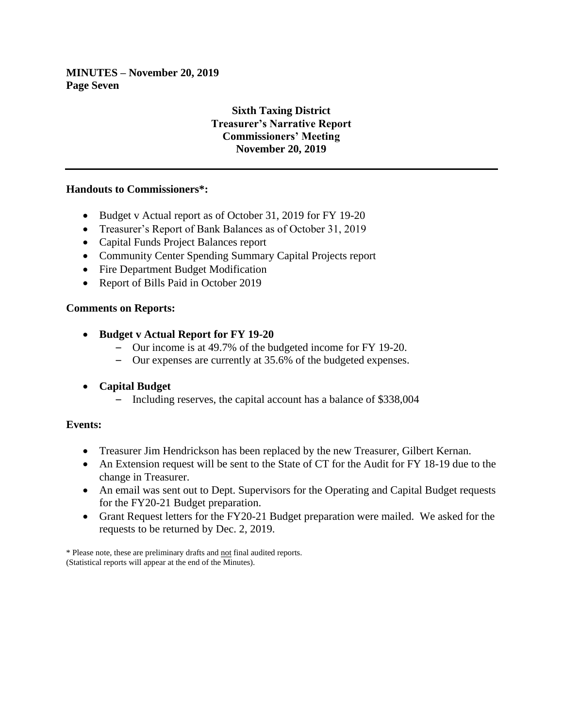**MINUTES – November 20, 2019 Page Seven**

# **Sixth Taxing District Treasurer's Narrative Report Commissioners' Meeting November 20, 2019**

### **Handouts to Commissioners\*:**

- Budget v Actual report as of October 31, 2019 for FY 19-20
- Treasurer's Report of Bank Balances as of October 31, 2019
- Capital Funds Project Balances report
- Community Center Spending Summary Capital Projects report
- Fire Department Budget Modification
- Report of Bills Paid in October 2019

### **Comments on Reports:**

- **Budget v Actual Report for FY 19-20**
	- Our income is at 49.7% of the budgeted income for FY 19-20.
	- Our expenses are currently at 35.6% of the budgeted expenses.
- **Capital Budget**
	- Including reserves, the capital account has a balance of \$338,004

### **Events:**

- Treasurer Jim Hendrickson has been replaced by the new Treasurer, Gilbert Kernan.
- An Extension request will be sent to the State of CT for the Audit for FY 18-19 due to the change in Treasurer.
- An email was sent out to Dept. Supervisors for the Operating and Capital Budget requests for the FY20-21 Budget preparation.
- Grant Request letters for the FY20-21 Budget preparation were mailed. We asked for the requests to be returned by Dec. 2, 2019.

\* Please note, these are preliminary drafts and not final audited reports. (Statistical reports will appear at the end of the Minutes).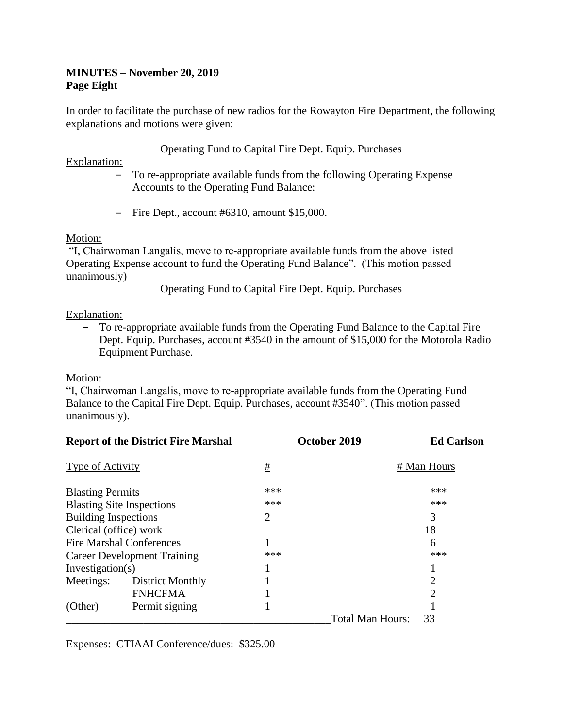# **MINUTES – November 20, 2019 Page Eight**

In order to facilitate the purchase of new radios for the Rowayton Fire Department, the following explanations and motions were given:

### Operating Fund to Capital Fire Dept. Equip. Purchases

Explanation:

- To re-appropriate available funds from the following Operating Expense Accounts to the Operating Fund Balance:
- Fire Dept., account #6310, amount \$15,000.

### Motion:

"I, Chairwoman Langalis, move to re-appropriate available funds from the above listed Operating Expense account to fund the Operating Fund Balance". (This motion passed unanimously)

Operating Fund to Capital Fire Dept. Equip. Purchases

### Explanation:

– To re-appropriate available funds from the Operating Fund Balance to the Capital Fire Dept. Equip. Purchases, account #3540 in the amount of \$15,000 for the Motorola Radio Equipment Purchase.

### Motion:

"I, Chairwoman Langalis, move to re-appropriate available funds from the Operating Fund Balance to the Capital Fire Dept. Equip. Purchases, account #3540". (This motion passed unanimously).

| <b>Report of the District Fire Marshal</b> |                  | October 2019 |                         | <b>Ed Carlson</b>           |
|--------------------------------------------|------------------|--------------|-------------------------|-----------------------------|
| Type of Activity                           |                  | <u>#</u>     |                         | # Man Hours                 |
| <b>Blasting Permits</b>                    |                  | ***          |                         | ***                         |
| <b>Blasting Site Inspections</b>           |                  | ***          |                         | ***                         |
| <b>Building Inspections</b>                |                  | 2            |                         | 3                           |
| Clerical (office) work                     |                  |              |                         | 18                          |
| <b>Fire Marshal Conferences</b>            |                  |              |                         | 6                           |
| <b>Career Development Training</b>         |                  | ***          |                         | ***                         |
| Investigation(s)                           |                  |              |                         |                             |
| Meetings:                                  | District Monthly |              |                         | 2                           |
|                                            | <b>FNHCFMA</b>   |              |                         | $\mathcal{D}_{\mathcal{L}}$ |
| (Other)                                    | Permit signing   |              |                         |                             |
|                                            |                  |              | <b>Total Man Hours:</b> | 33                          |

Expenses: CTIAAI Conference/dues: \$325.00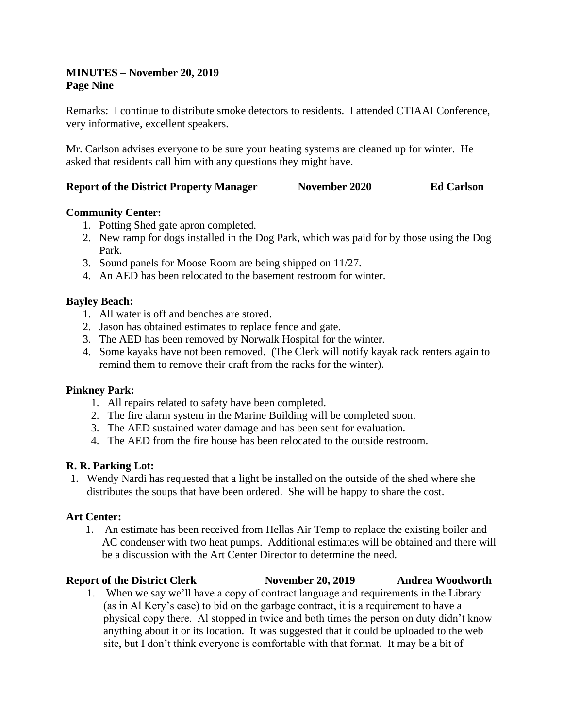### **MINUTES – November 20, 2019 Page Nine**

Remarks: I continue to distribute smoke detectors to residents. I attended CTIAAI Conference, very informative, excellent speakers.

Mr. Carlson advises everyone to be sure your heating systems are cleaned up for winter. He asked that residents call him with any questions they might have.

### **Report of the District Property Manager November 2020 Ed Carlson**

# **Community Center:**

- 1. Potting Shed gate apron completed.
- 2. New ramp for dogs installed in the Dog Park, which was paid for by those using the Dog Park.
- 3. Sound panels for Moose Room are being shipped on 11/27.
- 4. An AED has been relocated to the basement restroom for winter.

# **Bayley Beach:**

- 1. All water is off and benches are stored.
- 2. Jason has obtained estimates to replace fence and gate.
- 3. The AED has been removed by Norwalk Hospital for the winter.
- 4. Some kayaks have not been removed. (The Clerk will notify kayak rack renters again to remind them to remove their craft from the racks for the winter).

# **Pinkney Park:**

- 1. All repairs related to safety have been completed.
- 2. The fire alarm system in the Marine Building will be completed soon.
- 3. The AED sustained water damage and has been sent for evaluation.
- 4. The AED from the fire house has been relocated to the outside restroom.

# **R. R. Parking Lot:**

1. Wendy Nardi has requested that a light be installed on the outside of the shed where she distributes the soups that have been ordered. She will be happy to share the cost.

### **Art Center:**

- 1. An estimate has been received from Hellas Air Temp to replace the existing boiler and AC condenser with two heat pumps. Additional estimates will be obtained and there will be a discussion with the Art Center Director to determine the need.
- **Report of the District Clerk November 20, 2019 Andrea Woodworth** 1. When we say we'll have a copy of contract language and requirements in the Library (as in Al Kery's case) to bid on the garbage contract, it is a requirement to have a physical copy there. Al stopped in twice and both times the person on duty didn't know anything about it or its location. It was suggested that it could be uploaded to the web site, but I don't think everyone is comfortable with that format. It may be a bit of